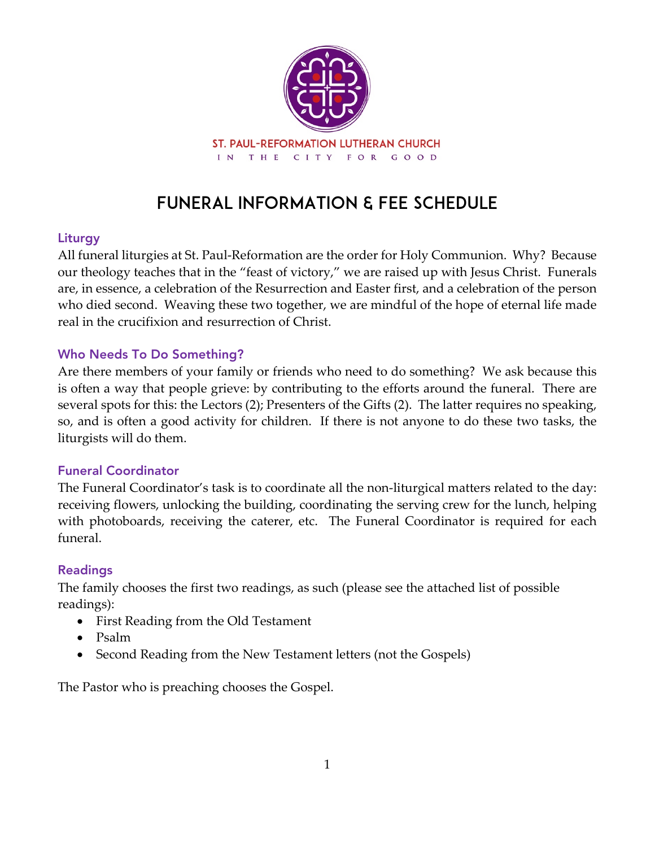

# Funeral Information & Fee Schedule

## Liturgy

All funeral liturgies at St. Paul-Reformation are the order for Holy Communion. Why? Because our theology teaches that in the "feast of victory," we are raised up with Jesus Christ. Funerals are, in essence, a celebration of the Resurrection and Easter first, and a celebration of the person who died second. Weaving these two together, we are mindful of the hope of eternal life made real in the crucifixion and resurrection of Christ.

## Who Needs To Do Something?

Are there members of your family or friends who need to do something? We ask because this is often a way that people grieve: by contributing to the efforts around the funeral. There are several spots for this: the Lectors (2); Presenters of the Gifts (2). The latter requires no speaking, so, and is often a good activity for children. If there is not anyone to do these two tasks, the liturgists will do them.

## Funeral Coordinator

The Funeral Coordinator's task is to coordinate all the non-liturgical matters related to the day: receiving flowers, unlocking the building, coordinating the serving crew for the lunch, helping with photoboards, receiving the caterer, etc. The Funeral Coordinator is required for each funeral.

## Readings

The family chooses the first two readings, as such (please see the attached list of possible readings):

- First Reading from the Old Testament
- Psalm
- Second Reading from the New Testament letters (not the Gospels)

The Pastor who is preaching chooses the Gospel.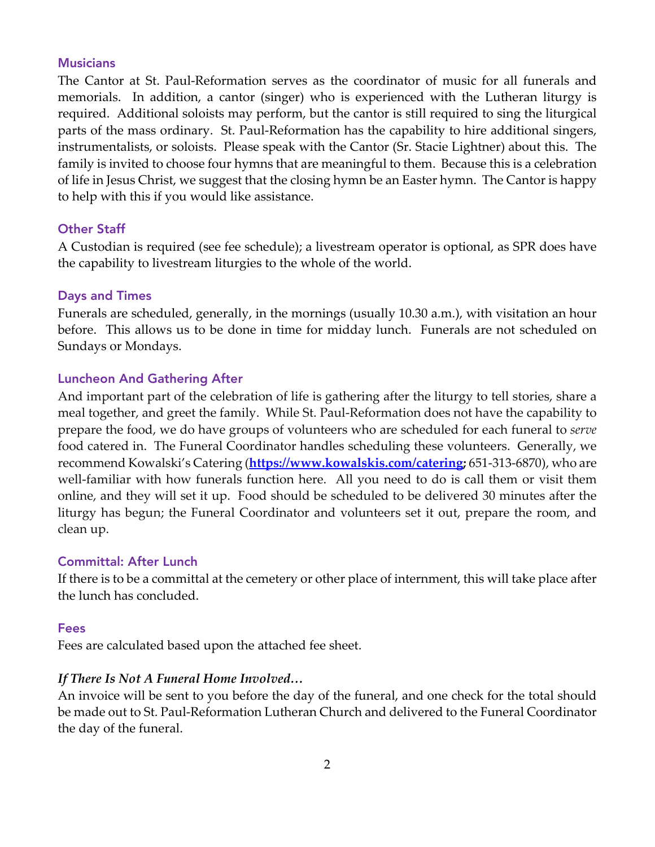### **Musicians**

The Cantor at St. Paul-Reformation serves as the coordinator of music for all funerals and memorials. In addition, a cantor (singer) who is experienced with the Lutheran liturgy is required. Additional soloists may perform, but the cantor is still required to sing the liturgical parts of the mass ordinary. St. Paul-Reformation has the capability to hire additional singers, instrumentalists, or soloists. Please speak with the Cantor (Sr. Stacie Lightner) about this. The family is invited to choose four hymns that are meaningful to them. Because this is a celebration of life in Jesus Christ, we suggest that the closing hymn be an Easter hymn. The Cantor is happy to help with this if you would like assistance.

### Other Staff

A Custodian is required (see fee schedule); a livestream operator is optional, as SPR does have the capability to livestream liturgies to the whole of the world.

#### Days and Times

Funerals are scheduled, generally, in the mornings (usually 10.30 a.m.), with visitation an hour before. This allows us to be done in time for midday lunch. Funerals are not scheduled on Sundays or Mondays.

#### Luncheon And Gathering After

And important part of the celebration of life is gathering after the liturgy to tell stories, share a meal together, and greet the family. While St. Paul-Reformation does not have the capability to prepare the food, we do have groups of volunteers who are scheduled for each funeral to *serve* food catered in. The Funeral Coordinator handles scheduling these volunteers. Generally, we recommend Kowalski's Catering (**https://www.kowalskis.com/catering;** 651-313-6870), who are well-familiar with how funerals function here. All you need to do is call them or visit them online, and they will set it up. Food should be scheduled to be delivered 30 minutes after the liturgy has begun; the Funeral Coordinator and volunteers set it out, prepare the room, and clean up.

### Committal: After Lunch

If there is to be a committal at the cemetery or other place of internment, this will take place after the lunch has concluded.

#### Fees

Fees are calculated based upon the attached fee sheet.

### *If There Is Not A Funeral Home Involved…*

An invoice will be sent to you before the day of the funeral, and one check for the total should be made out to St. Paul-Reformation Lutheran Church and delivered to the Funeral Coordinator the day of the funeral.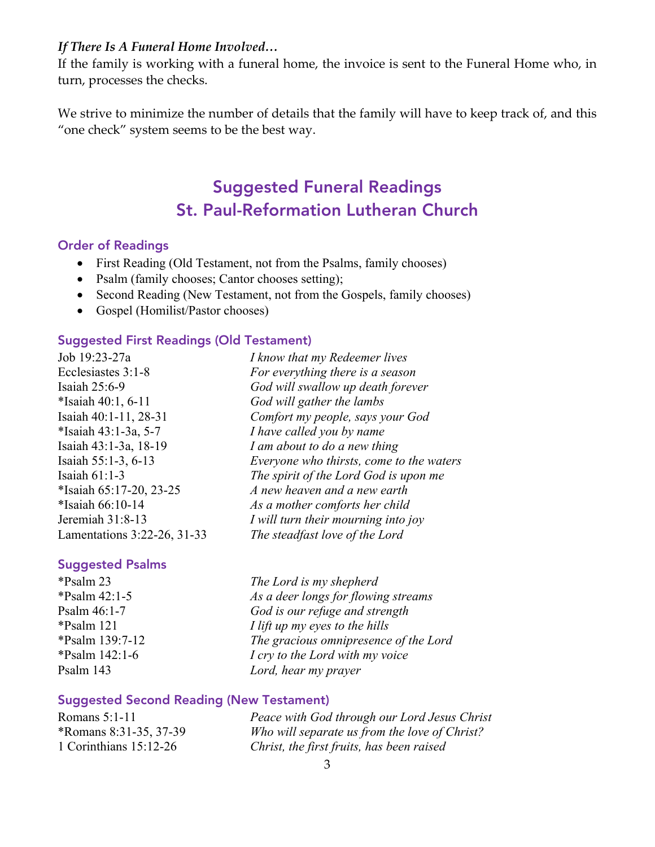### *If There Is A Funeral Home Involved…*

If the family is working with a funeral home, the invoice is sent to the Funeral Home who, in turn, processes the checks.

We strive to minimize the number of details that the family will have to keep track of, and this "one check" system seems to be the best way.

# Suggested Funeral Readings St. Paul-Reformation Lutheran Church

#### Order of Readings

- First Reading (Old Testament, not from the Psalms, family chooses)
- Psalm (family chooses; Cantor chooses setting);
- Second Reading (New Testament, not from the Gospels, family chooses)
- Gospel (Homilist/Pastor chooses)

#### Suggested First Readings (Old Testament)

Job 19:23-27a *I know that my Redeemer lives* Ecclesiastes 3:1-8 *For everything there is a season* \*Isaiah 40:1, 6-11 *God will gather the lambs* \*Isaiah 43:1-3a, 5-7 *I have called you by name*

#### Suggested Psalms

Isaiah 25:6-9 *God will swallow up death forever* Isaiah 40:1-11, 28-31 *Comfort my people, says your God* Isaiah 43:1-3a, 18-19 *I am about to do a new thing* Isaiah 55:1-3, 6-13 *Everyone who thirsts, come to the waters* Isaiah 61:1-3 *The spirit of the Lord God is upon me* \*Isaiah 65:17-20, 23-25 *A new heaven and a new earth* \*Isaiah 66:10-14 *As a mother comforts her child* Jeremiah 31:8-13 *I will turn their mourning into joy* Lamentations 3:22-26, 31-33 *The steadfast love of the Lord*

\*Psalm 23 *The Lord is my shepherd* \*Psalm 42:1-5 *As a deer longs for flowing streams* Psalm 46:1-7 *God is our refuge and strength* \*Psalm 121 *I lift up my eyes to the hills* \*Psalm 139:7-12 *The gracious omnipresence of the Lord* \*Psalm 142:1-6 *I cry to the Lord with my voice* Psalm 143 *Lord, hear my prayer*

#### Suggested Second Reading (New Testament)

Romans 5:1-11 *Peace with God through our Lord Jesus Christ* \*Romans 8:31-35, 37-39 *Who will separate us from the love of Christ?* 1 Corinthians 15:12-26 *Christ, the first fruits, has been raised*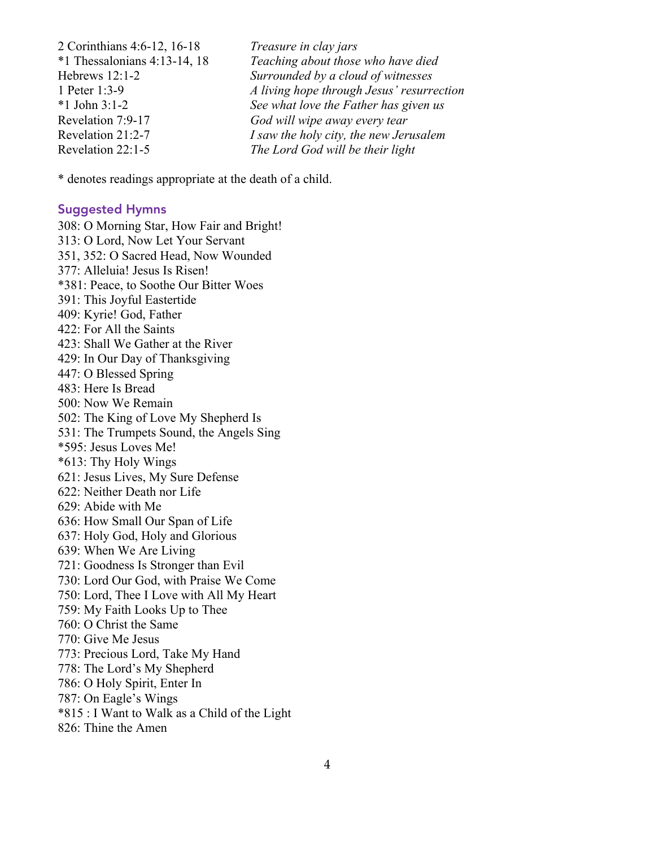2 Corinthians 4:6-12, 16-18 *Treasure in clay jars* \*1 Thessalonians 4:13-14, 18 *Teaching about those who have died* Hebrews 12:1-2 *Surrounded by a cloud of witnesses* 1 Peter 1:3-9 *A living hope through Jesus' resurrection* \*1 John 3:1-2 *See what love the Father has given us* Revelation 7:9-17 *God will wipe away every tear* Revelation 21:2-7 *I saw the holy city, the new Jerusalem* Revelation 22:1-5 *The Lord God will be their light*

\* denotes readings appropriate at the death of a child.

#### Suggested Hymns

308: O Morning Star, How Fair and Bright! 313: O Lord, Now Let Your Servant 351, 352: O Sacred Head, Now Wounded 377: Alleluia! Jesus Is Risen! \*381: Peace, to Soothe Our Bitter Woes 391: This Joyful Eastertide 409: Kyrie! God, Father 422: For All the Saints 423: Shall We Gather at the River 429: In Our Day of Thanksgiving 447: O Blessed Spring 483: Here Is Bread 500: Now We Remain 502: The King of Love My Shepherd Is 531: The Trumpets Sound, the Angels Sing \*595: Jesus Loves Me! \*613: Thy Holy Wings 621: Jesus Lives, My Sure Defense 622: Neither Death nor Life 629: Abide with Me 636: How Small Our Span of Life 637: Holy God, Holy and Glorious 639: When We Are Living 721: Goodness Is Stronger than Evil 730: Lord Our God, with Praise We Come 750: Lord, Thee I Love with All My Heart 759: My Faith Looks Up to Thee 760: O Christ the Same 770: Give Me Jesus 773: Precious Lord, Take My Hand 778: The Lord's My Shepherd 786: O Holy Spirit, Enter In 787: On Eagle's Wings \*815 : I Want to Walk as a Child of the Light 826: Thine the Amen

4